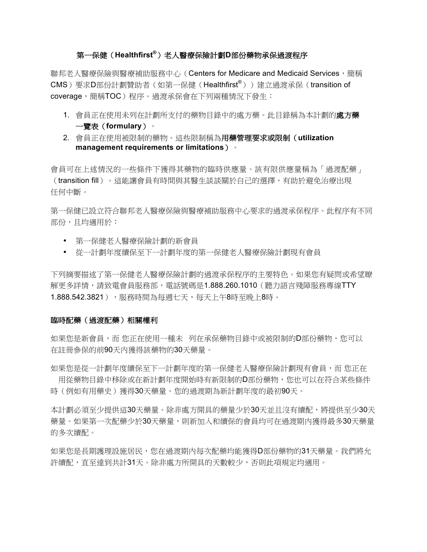# 第一保健(Healthfirst®)老人醫療保險計劃D部份藥物承保過渡程序

聯邦老人醫療保險與醫療補助服務中心 (Centers for Medicare and Medicaid Services, 簡稱 CMS)要求D部份計劃贊助者 (如第一保健 (Healthfirst®)) 建立過渡承保 (transition of coverage,簡稱TOC)程序。過渡承保會在下列兩種情況下發生:

- 1. 會員正在使用未列在計劃所支付的藥物目錄中的處方藥。此目錄稱為本計劃的處方藥 一覽表 (formulary)。
- 2. 會員正在使用被限制的藥物。這些限制稱為用藥管理要求或限制(utilization management requirements or limitations) •

會員可在上述情況的一些條件下獲得其藥物的臨時供應量。該有限供應量稱為「過渡配藥」 (transition fill)。這能讓會員有時間與其醫生談談關於自己的選擇,有助於避免治療出現 任何中斷。

第一保健已設立符合聯邦老人醫療保險與醫療補助服務中心要求的過渡承保程序。此程序有不同 部份,且均適用於:

- 第一保健老人醫療保險計劃的新會員
- 從一計劃年度續保至下一計劃年度的第一保健老人醫療保險計劃現有會員

下列摘要描述了第一保健老人醫療保險計劃的過渡承保程序的主要特色。如果您有疑問或希望瞭 解更多詳情,請致電會員服務部,電話號碼是1.888.260.1010(聽力語言殘障服務專線TTY 1.888.542.3821), 服務時間為每週七天, 每天上午8時至晩上8時。

## 臨時配藥(過渡配藥)相關權利

如果您是新會員,而您正在使用一種未 列在承保藥物目錄中或被限制的D部份藥物,您可以 存註冊參保的前90天內獲得該藥物的30天藥量。

如果您是從一計劃年度續保至下一計劃年度的第一保健老人醫療保險計劃現有會員,而 您正在 用從藥物目錄中移除或在新計劃年度開始時有新限制的D部份藥物,您也可以在符合某些條件 時(例如有用藥史)獲得30天藥量。您的過渡期為新計劃年度的最初90天。

本計劃必須至少提供這30天藥量。除非處方開具的藥量少於30天並且沒有續配,將提供至少30天 藥量。如果第一次配藥少於30天藥量,則新加入和續保的會員均可在過渡期內獲得最多30天藥量 的多次續配。

如果您是長期護理設施居民,您在過渡期內每次配藥均能獲得D部份藥物的31天藥量。我們將允 許續配,直至達到共計31天。除非處方所開具的天數較少,否則此項規定均適用。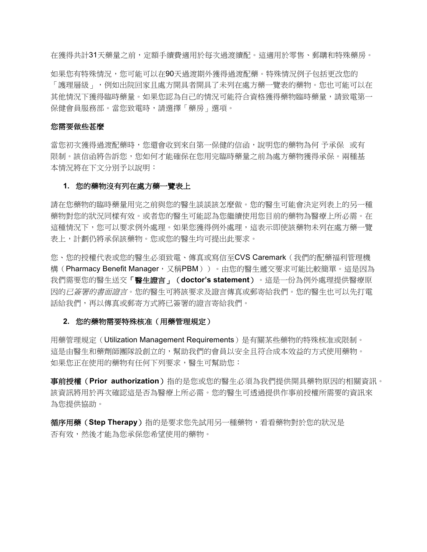在獲得共計31天藥量之前,定額手續費適用於每次過渡續配。這適用於零售、郵購和特殊藥房。

如果您有特殊情況,您可能可以在90天過渡期外獲得過渡配藥。特殊情況例子包括更改您的 「護理層級」,例如出院回家目處方開具者開具了未列在處方藥一覽表的藥物。您也可能可以在 其他情況下獲得臨時藥量。如果您認為自己的情況可能符合資格獲得藥物臨時藥量,請致電第一 保健會員服務部。當您致雷時,請選擇「藥房」選項。

## 您需要做些甚麼

當您初次獲得過渡配藥時,您還會收到來自第一保健的信函,說明您的藥物為何 予承保 或有 限制。該信函將告訴您,您如何才能確保在您用完臨時藥量之前為處方藥物獲得承保。兩種基 本情況將在下文分別予以說明:

## 1. 您的藥物沒有列在處方藥一覽表上

請在您藥物的臨時藥量用完之前與您的醫生談談該怎麼做。您的醫生可能會決定列表上的另一種 藥物對您的狀況同樣有效。或者您的醫生可能認為您繼續使用您目前的藥物為醫療上所必需。在 這種情況下,您可以要求例外處理。如果您獲得例外處理,這表示即使該藥物未列在處方藥一覽 表上,計劃仍將承保該藥物。您或您的醫牛均可提出此要求。

您、您的授權代表或您的醫生必須致電、傳真或寫信至CVS Caremark (我們的配藥福利管理機 構(Pharmacy Benefit Manager, 又稱PBM))。由您的醫生遞交要求可能比較簡單。這是因為 我們需要您的醫生送交「醫生證言」(doctor's statement)。這是一份為例外處理提供醫療原 因的已簽署的書面證言。您的醫生可將該要求及證言傳真或郵寄給我們。您的醫生也可以先打電 話給我們,再以傳真或郵寄方式將已簽署的證言寄給我們。

## 2. 您的藥物需要特殊核准(用藥管理規定)

用藥管理規定 (Utilization Management Requirements) 是有關某些藥物的特殊核准或限制。 這是由醫生和藥劑師團隊設創立的,幫助我們的會員以安全且符合成本效益的方式使用藥物。 如果您正在使用的藥物有任何下列要求,醫生可幫助您:

事前授權(Prior authorization)指的是您或您的醫生必須為我們提供開具藥物原因的相關資訊。 該資訊將用於再次確認這是否為醫療上所必需。您的醫生可透過提供作事前授權所需要的資訊來 為您提供協助。

循序用藥(Step Therapy)指的是要求您先試用另一種藥物,看看藥物對於您的狀況是 否有效,然後才能為您承保您希望使用的藥物。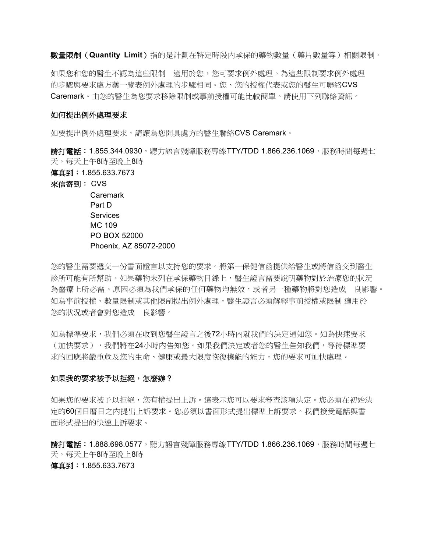數量限制 (Quantity Limit) 指的是計劃在特定時段內承保的藥物數量 ( 藥片數量等) 相關限制。

如果您和您的醫牛不認為這些限制 適用於您,您可要求例外處理。為這些限制要求例外處理 的步驟與要求處方藥一覽表例外處理的步驟相同。您、您的授權代表或您的醫生可聯絡CVS Caremark。由您的醫生為您要求移除限制或事前授權可能比較簡單。請使用下列聯絡資訊。

#### 如何提出例外處理要求

如要提出例外處理要求,請讓為您開具處方的醫生聯絡CVS Caremark。

**請打電話:1.855.344.0930**,聽力語言殘障服務專線TTY/TDD 1.866.236.1069,服務時間每週七 天,每天上午8時至晚上8時

傳真到: 1.855.633.7673

來信寄到: CVS

Caremark Part D **Services** MC 109 PO BOX 52000 Phoenix, AZ 85072-2000

您的醫生需要遞交一份書面證言以支持您的要求。將第一保健信函提供給醫生或將信函交到醫生 診所可能有所幫助。如果藥物未列在承保藥物目錄上,醫生證言需要說明藥物對於治療您的狀況 為醫療上所必需。原因必須為我們承保的任何藥物均無效,或者另一種藥物將對您造成 良影響。 如為事前授權、數量限制或其他限制提出例外處理,醫牛證言必須解釋事前授權或限制 滴用於 您的狀況或者會對您造成 良影響。

如為標準要求,我們必須在收到您醫生證言之後72小時內就我們的決定通知您。如為快速要求 (加快要求),我們將在24小時內告知您。如果我們決定或者您的醫生告知我們,等待標準要 求的回應將嚴重危及您的牛命、健康或最大限度恢復機能的能力,您的要求可加快處理。

#### 如果我的要求被予以拒絕,怎麼辦?

如果您的要求被予以拒絕,您有權提出上訴。這表示您可以要求審查該項決定。您必須在初始決 定的60個日曆日之內提出上訴要求。您必須以書面形式提出標準上訴要求。我們接受電話與書 面形式提出的快速上訴要求。

請打電話: 1.888.698.0577, 聽力語言殘障服務專線TTY/TDD 1.866.236.1069, 服務時間每週七 天,每天上午8時至晚上8時 傳真到: 1.855.633.7673